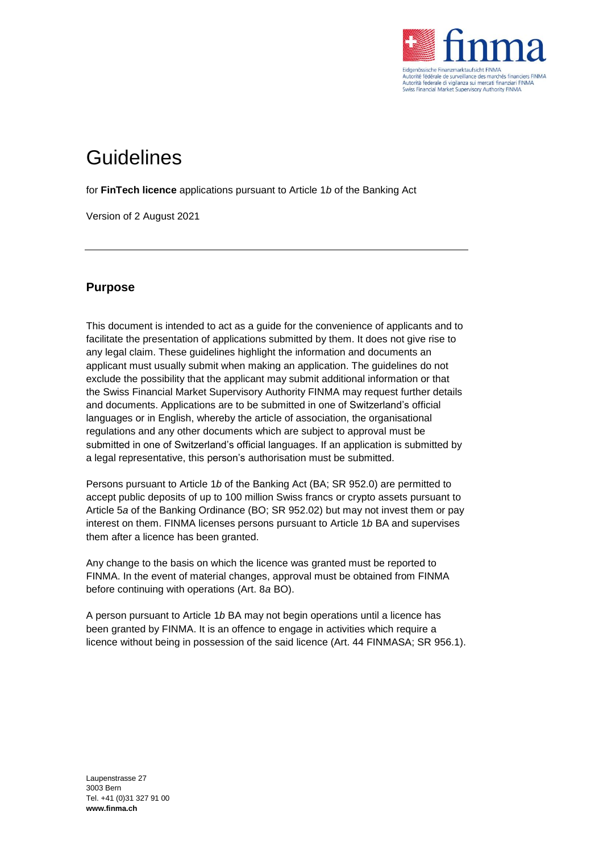

# **Guidelines**

for **FinTech licence** applications pursuant to Article 1*b* of the Banking Act

Version of 2 August 2021

# **Purpose**

This document is intended to act as a guide for the convenience of applicants and to facilitate the presentation of applications submitted by them. It does not give rise to any legal claim. These guidelines highlight the information and documents an applicant must usually submit when making an application. The guidelines do not exclude the possibility that the applicant may submit additional information or that the Swiss Financial Market Supervisory Authority FINMA may request further details and documents. Applications are to be submitted in one of Switzerland's official languages or in English, whereby the article of association, the organisational regulations and any other documents which are subject to approval must be submitted in one of Switzerland's official languages. If an application is submitted by a legal representative, this person's authorisation must be submitted.

Persons pursuant to Article 1*b* of the Banking Act (BA; SR 952.0) are permitted to accept public deposits of up to 100 million Swiss francs or crypto assets pursuant to Article 5*a* of the Banking Ordinance (BO; SR 952.02) but may not invest them or pay interest on them. FINMA licenses persons pursuant to Article 1*b* BA and supervises them after a licence has been granted.

Any change to the basis on which the licence was granted must be reported to FINMA. In the event of material changes, approval must be obtained from FINMA before continuing with operations (Art. 8*a* BO).

A person pursuant to Article 1*b* BA may not begin operations until a licence has been granted by FINMA. It is an offence to engage in activities which require a licence without being in possession of the said licence (Art. 44 FINMASA; SR 956.1).

Laupenstrasse 27 3003 Bern Tel. +41 (0)31 327 91 00 **www.finma.ch**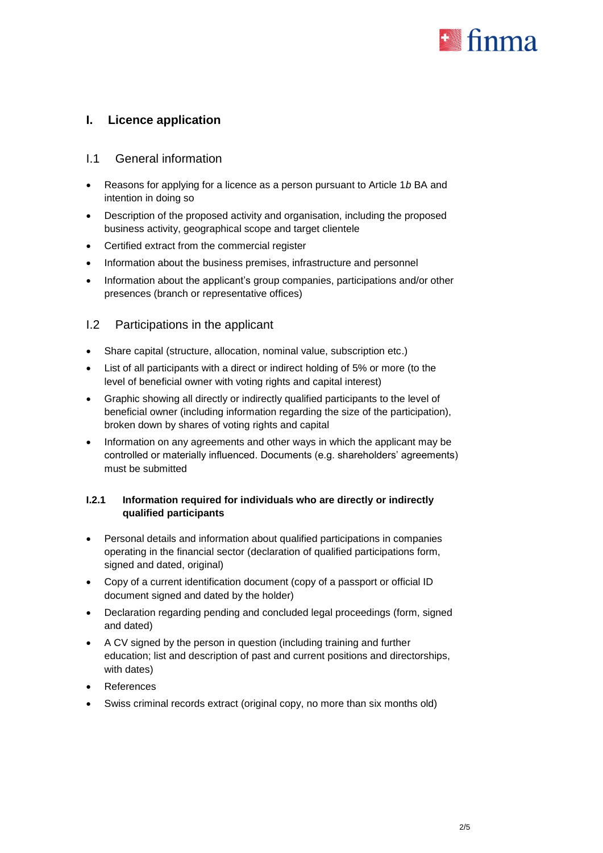

# **I. Licence application**

## I.1 General information

- Reasons for applying for a licence as a person pursuant to Article 1*b* BA and intention in doing so
- Description of the proposed activity and organisation, including the proposed business activity, geographical scope and target clientele
- Certified extract from the commercial register
- Information about the business premises, infrastructure and personnel
- Information about the applicant's group companies, participations and/or other presences (branch or representative offices)

## I.2 Participations in the applicant

- Share capital (structure, allocation, nominal value, subscription etc.)
- List of all participants with a direct or indirect holding of 5% or more (to the level of beneficial owner with voting rights and capital interest)
- Graphic showing all directly or indirectly qualified participants to the level of beneficial owner (including information regarding the size of the participation), broken down by shares of voting rights and capital
- Information on any agreements and other ways in which the applicant may be controlled or materially influenced. Documents (e.g. shareholders' agreements) must be submitted

#### **I.2.1 Information required for individuals who are directly or indirectly qualified participants**

- Personal details and information about qualified participations in companies operating in the financial sector (declaration of qualified participations form, signed and dated, original)
- Copy of a current identification document (copy of a passport or official ID document signed and dated by the holder)
- Declaration regarding pending and concluded legal proceedings (form, signed and dated)
- A CV signed by the person in question (including training and further education; list and description of past and current positions and directorships, with dates)
- References
- Swiss criminal records extract (original copy, no more than six months old)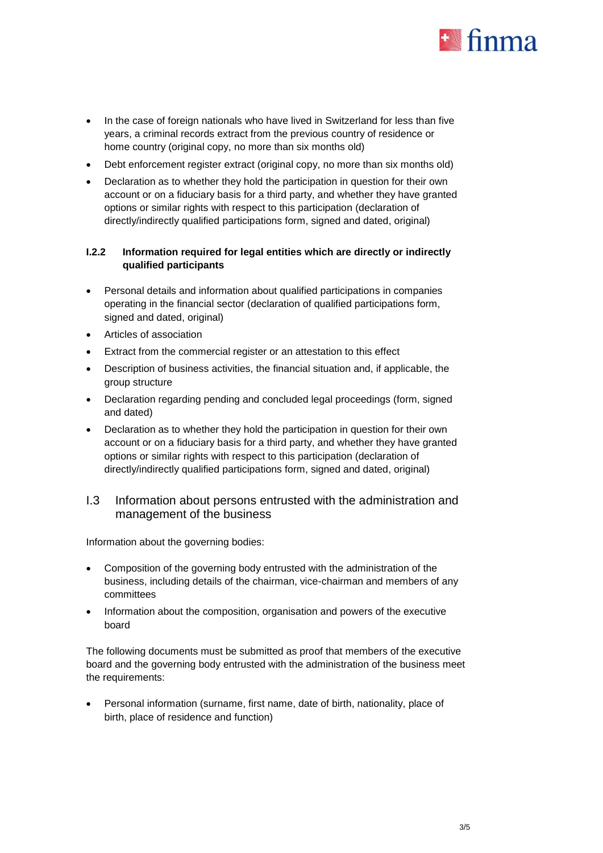

- In the case of foreign nationals who have lived in Switzerland for less than five years, a criminal records extract from the previous country of residence or home country (original copy, no more than six months old)
- Debt enforcement register extract (original copy, no more than six months old)
- Declaration as to whether they hold the participation in question for their own account or on a fiduciary basis for a third party, and whether they have granted options or similar rights with respect to this participation (declaration of directly/indirectly qualified participations form, signed and dated, original)

#### **I.2.2 Information required for legal entities which are directly or indirectly qualified participants**

- Personal details and information about qualified participations in companies operating in the financial sector (declaration of qualified participations form, signed and dated, original)
- Articles of association
- Extract from the commercial register or an attestation to this effect
- Description of business activities, the financial situation and, if applicable, the group structure
- Declaration regarding pending and concluded legal proceedings (form, signed and dated)
- Declaration as to whether they hold the participation in question for their own account or on a fiduciary basis for a third party, and whether they have granted options or similar rights with respect to this participation (declaration of directly/indirectly qualified participations form, signed and dated, original)

## I.3 Information about persons entrusted with the administration and management of the business

Information about the governing bodies:

- Composition of the governing body entrusted with the administration of the business, including details of the chairman, vice-chairman and members of any committees
- Information about the composition, organisation and powers of the executive board

The following documents must be submitted as proof that members of the executive board and the governing body entrusted with the administration of the business meet the requirements:

 Personal information (surname, first name, date of birth, nationality, place of birth, place of residence and function)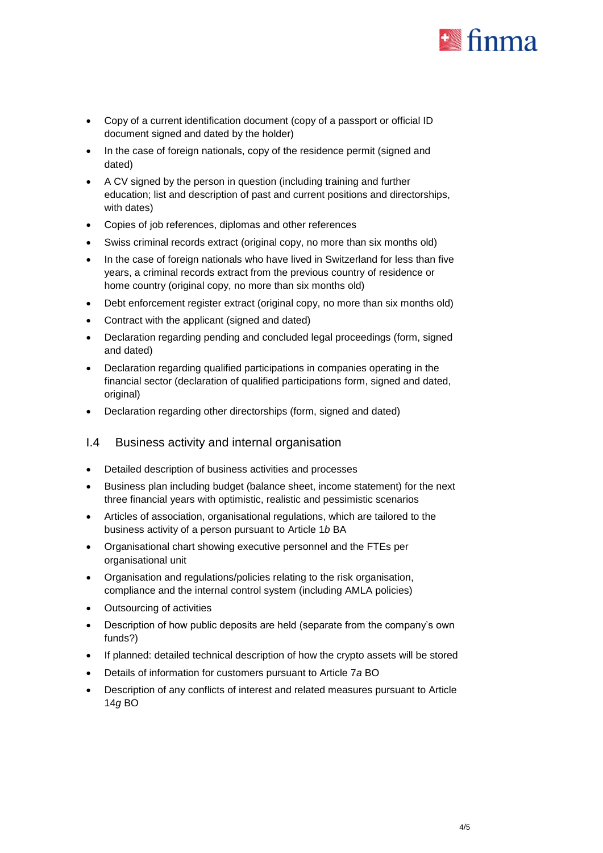

- Copy of a current identification document (copy of a passport or official ID document signed and dated by the holder)
- In the case of foreign nationals, copy of the residence permit (signed and dated)
- A CV signed by the person in question (including training and further education; list and description of past and current positions and directorships, with dates)
- Copies of job references, diplomas and other references
- Swiss criminal records extract (original copy, no more than six months old)
- In the case of foreign nationals who have lived in Switzerland for less than five years, a criminal records extract from the previous country of residence or home country (original copy, no more than six months old)
- Debt enforcement register extract (original copy, no more than six months old)
- Contract with the applicant (signed and dated)
- Declaration regarding pending and concluded legal proceedings (form, signed and dated)
- Declaration regarding qualified participations in companies operating in the financial sector (declaration of qualified participations form, signed and dated, original)
- Declaration regarding other directorships (form, signed and dated)

## I.4 Business activity and internal organisation

- Detailed description of business activities and processes
- Business plan including budget (balance sheet, income statement) for the next three financial years with optimistic, realistic and pessimistic scenarios
- Articles of association, organisational regulations, which are tailored to the business activity of a person pursuant to Article 1*b* BA
- Organisational chart showing executive personnel and the FTEs per organisational unit
- Organisation and regulations/policies relating to the risk organisation, compliance and the internal control system (including AMLA policies)
- Outsourcing of activities
- Description of how public deposits are held (separate from the company's own funds?)
- If planned: detailed technical description of how the crypto assets will be stored
- Details of information for customers pursuant to Article 7*a* BO
- Description of any conflicts of interest and related measures pursuant to Article 14*g* BO